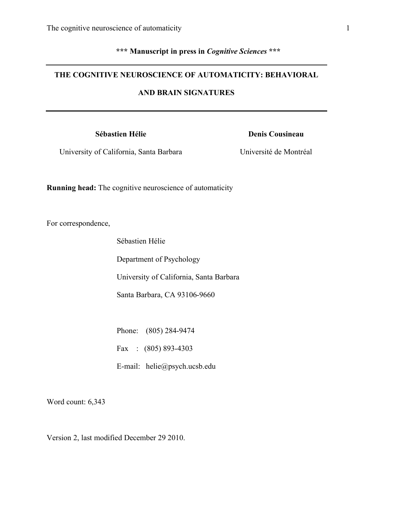# **\*\*\* Manuscript in press in** *Cognitive Sciences* **\*\*\***

# **THE COGNITIVE NEUROSCIENCE OF AUTOMATICITY: BEHAVIORAL**

# **AND BRAIN SIGNATURES**

## **Sébastien Hélie**

# **Denis Cousineau**

University of California, Santa Barbara

Université de Montréal

**Running head:** The cognitive neuroscience of automaticity

For correspondence,

Sébastien Hélie

Department of Psychology

University of California, Santa Barbara

Santa Barbara, CA 93106-9660

Phone: (805) 284-9474

Fax : (805) 893-4303

E-mail: helie@psych.ucsb.edu

Word count: 6,343

Version 2, last modified December 29 2010.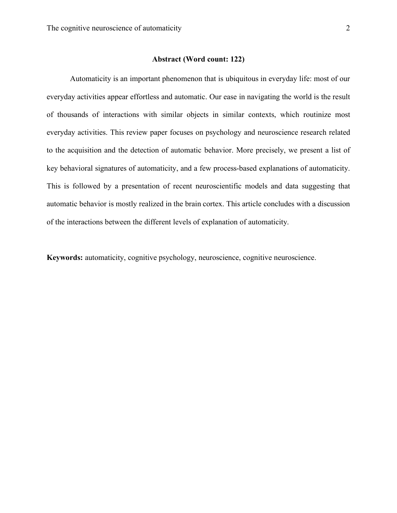#### **Abstract (Word count: 122)**

Automaticity is an important phenomenon that is ubiquitous in everyday life: most of our everyday activities appear effortless and automatic. Our ease in navigating the world is the result of thousands of interactions with similar objects in similar contexts, which routinize most everyday activities. This review paper focuses on psychology and neuroscience research related to the acquisition and the detection of automatic behavior. More precisely, we present a list of key behavioral signatures of automaticity, and a few process-based explanations of automaticity. This is followed by a presentation of recent neuroscientific models and data suggesting that automatic behavior is mostly realized in the brain cortex. This article concludes with a discussion of the interactions between the different levels of explanation of automaticity.

**Keywords:** automaticity, cognitive psychology, neuroscience, cognitive neuroscience.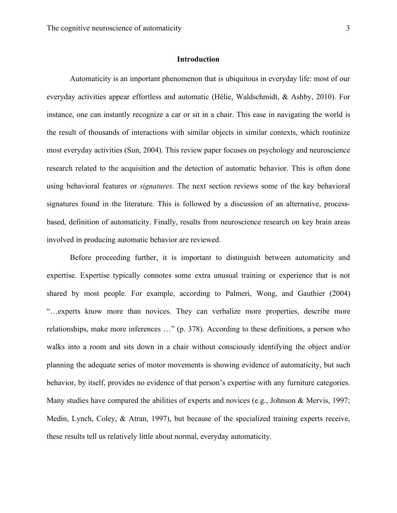#### **Introduction**

Automaticity is an important phenomenon that is ubiquitous in everyday life: most of our everyday activities appear effortless and automatic (Hélie, Waldschmidt, & Ashby, 2010). For instance, one can instantly recognize a car or sit in a chair. This ease in navigating the world is the result of thousands of interactions with similar objects in similar contexts, which routinize most everyday activities (Sun, 2004). This review paper focuses on psychology and neuroscience research related to the acquisition and the detection of automatic behavior. This is often done using behavioral features or *signatures*. The next section reviews some of the key behavioral signatures found in the literature. This is followed by a discussion of an alternative, processbased, definition of automaticity. Finally, results from neuroscience research on key brain areas involved in producing automatic behavior are reviewed.

Before proceeding further, it is important to distinguish between automaticity and expertise. Expertise typically connotes some extra unusual training or experience that is not shared by most people. For example, according to Palmeri, Wong, and Gauthier (2004) "…experts know more than novices. They can verbalize more properties, describe more relationships, make more inferences …" (p. 378). According to these definitions, a person who walks into a room and sits down in a chair without consciously identifying the object and/or planning the adequate series of motor movements is showing evidence of automaticity, but such behavior, by itself, provides no evidence of that person's expertise with any furniture categories. Many studies have compared the abilities of experts and novices (e.g., Johnson & Mervis, 1997; Medin, Lynch, Coley, & Atran, 1997), but because of the specialized training experts receive, these results tell us relatively little about normal, everyday automaticity.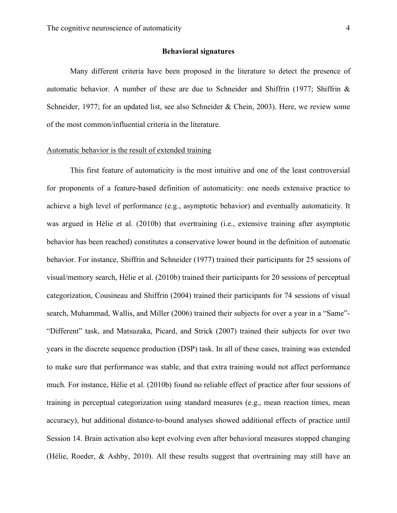#### **Behavioral signatures**

Many different criteria have been proposed in the literature to detect the presence of automatic behavior. A number of these are due to Schneider and Shiffrin (1977; Shiffrin  $\&$ Schneider, 1977; for an updated list, see also Schneider & Chein, 2003). Here, we review some of the most common/influential criteria in the literature.

# Automatic behavior is the result of extended training

This first feature of automaticity is the most intuitive and one of the least controversial for proponents of a feature-based definition of automaticity: one needs extensive practice to achieve a high level of performance (e.g., asymptotic behavior) and eventually automaticity. It was argued in Hélie et al. (2010b) that overtraining (i.e., extensive training after asymptotic behavior has been reached) constitutes a conservative lower bound in the definition of automatic behavior. For instance, Shiffrin and Schneider (1977) trained their participants for 25 sessions of visual/memory search, Hélie et al. (2010b) trained their participants for 20 sessions of perceptual categorization, Cousineau and Shiffrin (2004) trained their participants for 74 sessions of visual search, Muhammad, Wallis, and Miller (2006) trained their subjects for over a year in a "Same"- "Different" task, and Matsuzaka, Picard, and Strick (2007) trained their subjects for over two years in the discrete sequence production (DSP) task. In all of these cases, training was extended to make sure that performance was stable, and that extra training would not affect performance much. For instance, Hélie et al. (2010b) found no reliable effect of practice after four sessions of training in perceptual categorization using standard measures (e.g., mean reaction times, mean accuracy), but additional distance-to-bound analyses showed additional effects of practice until Session 14. Brain activation also kept evolving even after behavioral measures stopped changing (Hélie, Roeder, & Ashby, 2010). All these results suggest that overtraining may still have an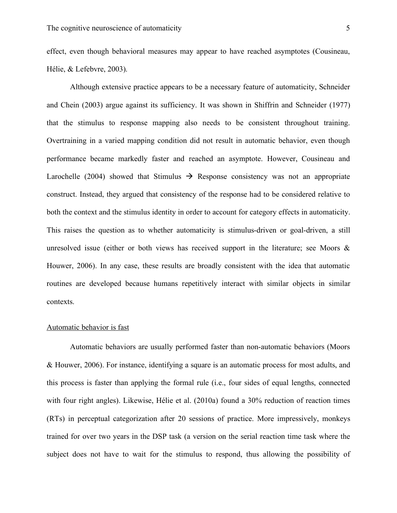effect, even though behavioral measures may appear to have reached asymptotes (Cousineau, Hélie, & Lefebvre, 2003).

Although extensive practice appears to be a necessary feature of automaticity, Schneider and Chein (2003) argue against its sufficiency. It was shown in Shiffrin and Schneider (1977) that the stimulus to response mapping also needs to be consistent throughout training. Overtraining in a varied mapping condition did not result in automatic behavior, even though performance became markedly faster and reached an asymptote. However, Cousineau and Larochelle (2004) showed that Stimulus  $\rightarrow$  Response consistency was not an appropriate construct. Instead, they argued that consistency of the response had to be considered relative to both the context and the stimulus identity in order to account for category effects in automaticity. This raises the question as to whether automaticity is stimulus-driven or goal-driven, a still unresolved issue (either or both views has received support in the literature; see Moors  $\&$ Houwer, 2006). In any case, these results are broadly consistent with the idea that automatic routines are developed because humans repetitively interact with similar objects in similar contexts.

#### Automatic behavior is fast

Automatic behaviors are usually performed faster than non-automatic behaviors (Moors & Houwer, 2006). For instance, identifying a square is an automatic process for most adults, and this process is faster than applying the formal rule (i.e., four sides of equal lengths, connected with four right angles). Likewise, Hélie et al. (2010a) found a 30% reduction of reaction times (RTs) in perceptual categorization after 20 sessions of practice. More impressively, monkeys trained for over two years in the DSP task (a version on the serial reaction time task where the subject does not have to wait for the stimulus to respond, thus allowing the possibility of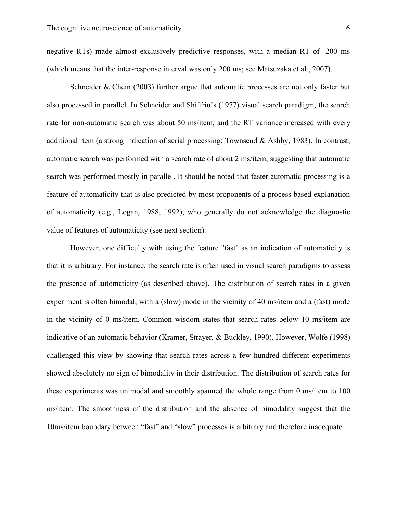negative RTs) made almost exclusively predictive responses, with a median RT of -200 ms (which means that the inter-response interval was only 200 ms; see Matsuzaka et al., 2007).

Schneider & Chein (2003) further argue that automatic processes are not only faster but also processed in parallel. In Schneider and Shiffrin's (1977) visual search paradigm, the search rate for non-automatic search was about 50 ms/item, and the RT variance increased with every additional item (a strong indication of serial processing: Townsend & Ashby, 1983). In contrast, automatic search was performed with a search rate of about 2 ms/item, suggesting that automatic search was performed mostly in parallel. It should be noted that faster automatic processing is a feature of automaticity that is also predicted by most proponents of a process-based explanation of automaticity (e.g., Logan, 1988, 1992), who generally do not acknowledge the diagnostic value of features of automaticity (see next section).

However, one difficulty with using the feature "fast" as an indication of automaticity is that it is arbitrary. For instance, the search rate is often used in visual search paradigms to assess the presence of automaticity (as described above). The distribution of search rates in a given experiment is often bimodal, with a (slow) mode in the vicinity of 40 ms/item and a (fast) mode in the vicinity of 0 ms/item. Common wisdom states that search rates below 10 ms/item are indicative of an automatic behavior (Kramer, Strayer, & Buckley, 1990). However, Wolfe (1998) challenged this view by showing that search rates across a few hundred different experiments showed absolutely no sign of bimodality in their distribution. The distribution of search rates for these experiments was unimodal and smoothly spanned the whole range from 0 ms/item to 100 ms/item. The smoothness of the distribution and the absence of bimodality suggest that the 10ms/item boundary between "fast" and "slow" processes is arbitrary and therefore inadequate.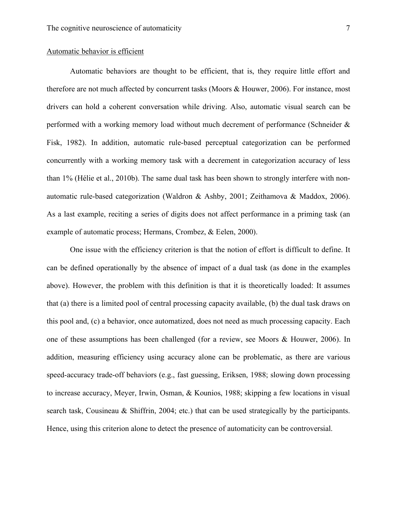# Automatic behavior is efficient

Automatic behaviors are thought to be efficient, that is, they require little effort and therefore are not much affected by concurrent tasks (Moors & Houwer, 2006). For instance, most drivers can hold a coherent conversation while driving. Also, automatic visual search can be performed with a working memory load without much decrement of performance (Schneider & Fisk, 1982). In addition, automatic rule-based perceptual categorization can be performed concurrently with a working memory task with a decrement in categorization accuracy of less than 1% (Hélie et al., 2010b). The same dual task has been shown to strongly interfere with nonautomatic rule-based categorization (Waldron & Ashby, 2001; Zeithamova & Maddox, 2006). As a last example, reciting a series of digits does not affect performance in a priming task (an example of automatic process; Hermans, Crombez, & Eelen, 2000).

One issue with the efficiency criterion is that the notion of effort is difficult to define. It can be defined operationally by the absence of impact of a dual task (as done in the examples above). However, the problem with this definition is that it is theoretically loaded: It assumes that (a) there is a limited pool of central processing capacity available, (b) the dual task draws on this pool and, (c) a behavior, once automatized, does not need as much processing capacity. Each one of these assumptions has been challenged (for a review, see Moors & Houwer, 2006). In addition, measuring efficiency using accuracy alone can be problematic, as there are various speed-accuracy trade-off behaviors (e.g., fast guessing, Eriksen, 1988; slowing down processing to increase accuracy, Meyer, Irwin, Osman, & Kounios, 1988; skipping a few locations in visual search task, Cousineau & Shiffrin, 2004; etc.) that can be used strategically by the participants. Hence, using this criterion alone to detect the presence of automaticity can be controversial.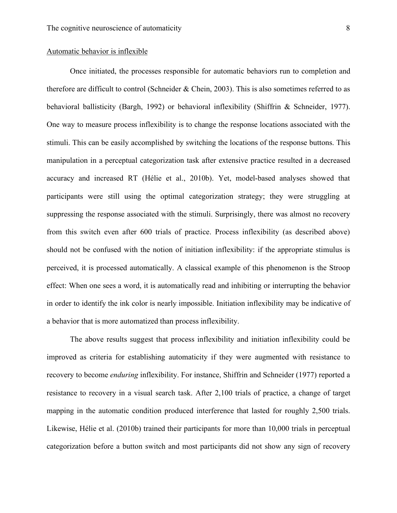# Automatic behavior is inflexible

Once initiated, the processes responsible for automatic behaviors run to completion and therefore are difficult to control (Schneider & Chein, 2003). This is also sometimes referred to as behavioral ballisticity (Bargh, 1992) or behavioral inflexibility (Shiffrin & Schneider, 1977). One way to measure process inflexibility is to change the response locations associated with the stimuli. This can be easily accomplished by switching the locations of the response buttons. This manipulation in a perceptual categorization task after extensive practice resulted in a decreased accuracy and increased RT (Hélie et al., 2010b). Yet, model-based analyses showed that participants were still using the optimal categorization strategy; they were struggling at suppressing the response associated with the stimuli. Surprisingly, there was almost no recovery from this switch even after 600 trials of practice. Process inflexibility (as described above) should not be confused with the notion of initiation inflexibility: if the appropriate stimulus is perceived, it is processed automatically. A classical example of this phenomenon is the Stroop effect: When one sees a word, it is automatically read and inhibiting or interrupting the behavior in order to identify the ink color is nearly impossible. Initiation inflexibility may be indicative of a behavior that is more automatized than process inflexibility.

The above results suggest that process inflexibility and initiation inflexibility could be improved as criteria for establishing automaticity if they were augmented with resistance to recovery to become *enduring* inflexibility. For instance, Shiffrin and Schneider (1977) reported a resistance to recovery in a visual search task. After 2,100 trials of practice, a change of target mapping in the automatic condition produced interference that lasted for roughly 2,500 trials. Likewise, Hélie et al. (2010b) trained their participants for more than 10,000 trials in perceptual categorization before a button switch and most participants did not show any sign of recovery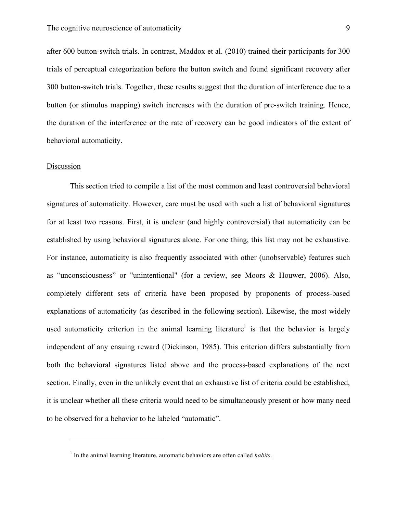after 600 button-switch trials. In contrast, Maddox et al. (2010) trained their participants for 300 trials of perceptual categorization before the button switch and found significant recovery after 300 button-switch trials. Together, these results suggest that the duration of interference due to a button (or stimulus mapping) switch increases with the duration of pre-switch training. Hence, the duration of the interference or the rate of recovery can be good indicators of the extent of behavioral automaticity.

#### **Discussion**

 $\overline{a}$ 

This section tried to compile a list of the most common and least controversial behavioral signatures of automaticity. However, care must be used with such a list of behavioral signatures for at least two reasons. First, it is unclear (and highly controversial) that automaticity can be established by using behavioral signatures alone. For one thing, this list may not be exhaustive. For instance, automaticity is also frequently associated with other (unobservable) features such as "unconsciousness" or "unintentional" (for a review, see Moors & Houwer, 2006). Also, completely different sets of criteria have been proposed by proponents of process-based explanations of automaticity (as described in the following section). Likewise, the most widely used automaticity criterion in the animal learning literature<sup>1</sup> is that the behavior is largely independent of any ensuing reward (Dickinson, 1985). This criterion differs substantially from both the behavioral signatures listed above and the process-based explanations of the next section. Finally, even in the unlikely event that an exhaustive list of criteria could be established, it is unclear whether all these criteria would need to be simultaneously present or how many need to be observed for a behavior to be labeled "automatic".

<sup>&</sup>lt;sup>1</sup> In the animal learning literature, automatic behaviors are often called *habits*.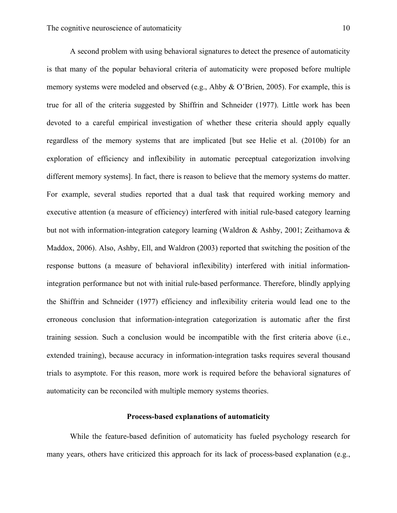A second problem with using behavioral signatures to detect the presence of automaticity is that many of the popular behavioral criteria of automaticity were proposed before multiple memory systems were modeled and observed (e.g., Ahby & O'Brien, 2005). For example, this is true for all of the criteria suggested by Shiffrin and Schneider (1977). Little work has been devoted to a careful empirical investigation of whether these criteria should apply equally regardless of the memory systems that are implicated [but see Helie et al. (2010b) for an exploration of efficiency and inflexibility in automatic perceptual categorization involving different memory systems]. In fact, there is reason to believe that the memory systems do matter. For example, several studies reported that a dual task that required working memory and executive attention (a measure of efficiency) interfered with initial rule-based category learning but not with information-integration category learning (Waldron & Ashby, 2001; Zeithamova & Maddox, 2006). Also, Ashby, Ell, and Waldron (2003) reported that switching the position of the response buttons (a measure of behavioral inflexibility) interfered with initial informationintegration performance but not with initial rule-based performance. Therefore, blindly applying the Shiffrin and Schneider (1977) efficiency and inflexibility criteria would lead one to the erroneous conclusion that information-integration categorization is automatic after the first training session. Such a conclusion would be incompatible with the first criteria above (i.e., extended training), because accuracy in information-integration tasks requires several thousand trials to asymptote. For this reason, more work is required before the behavioral signatures of automaticity can be reconciled with multiple memory systems theories.

### **Process-based explanations of automaticity**

While the feature-based definition of automaticity has fueled psychology research for many years, others have criticized this approach for its lack of process-based explanation (e.g.,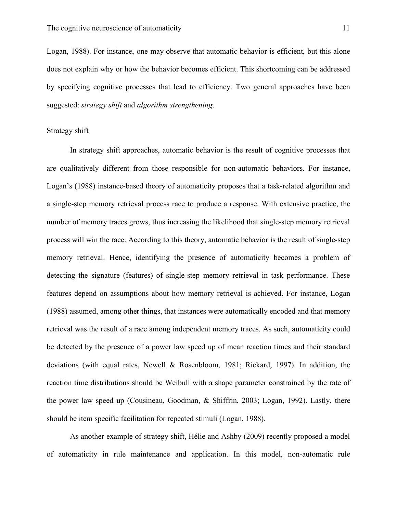Logan, 1988). For instance, one may observe that automatic behavior is efficient, but this alone does not explain why or how the behavior becomes efficient. This shortcoming can be addressed by specifying cognitive processes that lead to efficiency. Two general approaches have been suggested: *strategy shift* and *algorithm strengthening*.

#### Strategy shift

In strategy shift approaches, automatic behavior is the result of cognitive processes that are qualitatively different from those responsible for non-automatic behaviors. For instance, Logan's (1988) instance-based theory of automaticity proposes that a task-related algorithm and a single-step memory retrieval process race to produce a response. With extensive practice, the number of memory traces grows, thus increasing the likelihood that single-step memory retrieval process will win the race. According to this theory, automatic behavior is the result of single-step memory retrieval. Hence, identifying the presence of automaticity becomes a problem of detecting the signature (features) of single-step memory retrieval in task performance. These features depend on assumptions about how memory retrieval is achieved. For instance, Logan (1988) assumed, among other things, that instances were automatically encoded and that memory retrieval was the result of a race among independent memory traces. As such, automaticity could be detected by the presence of a power law speed up of mean reaction times and their standard deviations (with equal rates, Newell & Rosenbloom, 1981; Rickard, 1997). In addition, the reaction time distributions should be Weibull with a shape parameter constrained by the rate of the power law speed up (Cousineau, Goodman, & Shiffrin, 2003; Logan, 1992). Lastly, there should be item specific facilitation for repeated stimuli (Logan, 1988).

As another example of strategy shift, Hélie and Ashby (2009) recently proposed a model of automaticity in rule maintenance and application. In this model, non-automatic rule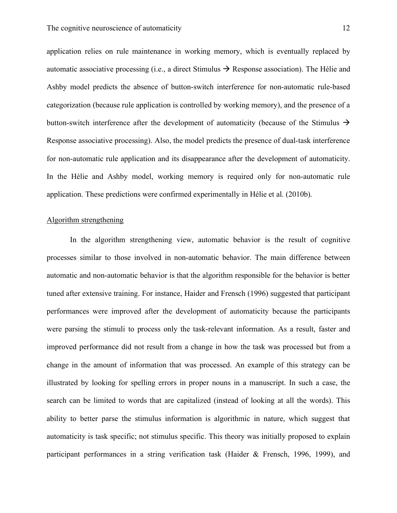application relies on rule maintenance in working memory, which is eventually replaced by automatic associative processing (i.e., a direct Stimulus  $\rightarrow$  Response association). The Hélie and Ashby model predicts the absence of button-switch interference for non-automatic rule-based categorization (because rule application is controlled by working memory), and the presence of a button-switch interference after the development of automaticity (because of the Stimulus  $\rightarrow$ Response associative processing). Also, the model predicts the presence of dual-task interference for non-automatic rule application and its disappearance after the development of automaticity. In the Hélie and Ashby model, working memory is required only for non-automatic rule application. These predictions were confirmed experimentally in Hélie et al. (2010b).

#### Algorithm strengthening

In the algorithm strengthening view, automatic behavior is the result of cognitive processes similar to those involved in non-automatic behavior. The main difference between automatic and non-automatic behavior is that the algorithm responsible for the behavior is better tuned after extensive training. For instance, Haider and Frensch (1996) suggested that participant performances were improved after the development of automaticity because the participants were parsing the stimuli to process only the task-relevant information. As a result, faster and improved performance did not result from a change in how the task was processed but from a change in the amount of information that was processed. An example of this strategy can be illustrated by looking for spelling errors in proper nouns in a manuscript. In such a case, the search can be limited to words that are capitalized (instead of looking at all the words). This ability to better parse the stimulus information is algorithmic in nature, which suggest that automaticity is task specific; not stimulus specific. This theory was initially proposed to explain participant performances in a string verification task (Haider & Frensch, 1996, 1999), and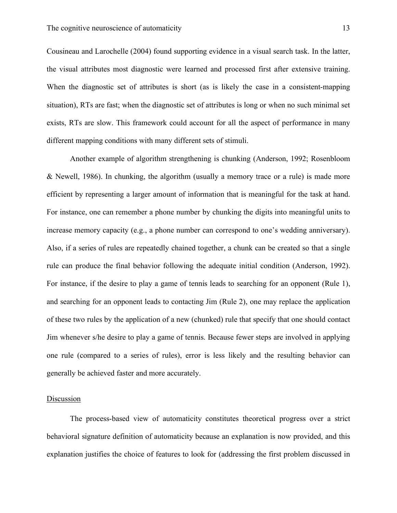Cousineau and Larochelle (2004) found supporting evidence in a visual search task. In the latter, the visual attributes most diagnostic were learned and processed first after extensive training. When the diagnostic set of attributes is short (as is likely the case in a consistent-mapping situation), RTs are fast; when the diagnostic set of attributes is long or when no such minimal set exists, RTs are slow. This framework could account for all the aspect of performance in many different mapping conditions with many different sets of stimuli.

Another example of algorithm strengthening is chunking (Anderson, 1992; Rosenbloom & Newell, 1986). In chunking, the algorithm (usually a memory trace or a rule) is made more efficient by representing a larger amount of information that is meaningful for the task at hand. For instance, one can remember a phone number by chunking the digits into meaningful units to increase memory capacity (e.g., a phone number can correspond to one's wedding anniversary). Also, if a series of rules are repeatedly chained together, a chunk can be created so that a single rule can produce the final behavior following the adequate initial condition (Anderson, 1992). For instance, if the desire to play a game of tennis leads to searching for an opponent (Rule 1), and searching for an opponent leads to contacting Jim (Rule 2), one may replace the application of these two rules by the application of a new (chunked) rule that specify that one should contact Jim whenever s/he desire to play a game of tennis. Because fewer steps are involved in applying one rule (compared to a series of rules), error is less likely and the resulting behavior can generally be achieved faster and more accurately.

#### **Discussion**

The process-based view of automaticity constitutes theoretical progress over a strict behavioral signature definition of automaticity because an explanation is now provided, and this explanation justifies the choice of features to look for (addressing the first problem discussed in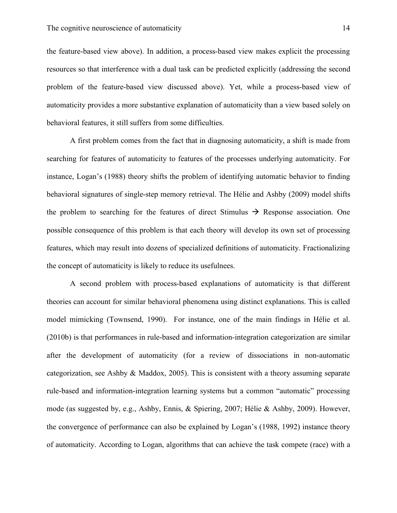the feature-based view above). In addition, a process-based view makes explicit the processing resources so that interference with a dual task can be predicted explicitly (addressing the second problem of the feature-based view discussed above). Yet, while a process-based view of automaticity provides a more substantive explanation of automaticity than a view based solely on behavioral features, it still suffers from some difficulties.

A first problem comes from the fact that in diagnosing automaticity, a shift is made from searching for features of automaticity to features of the processes underlying automaticity. For instance, Logan's (1988) theory shifts the problem of identifying automatic behavior to finding behavioral signatures of single-step memory retrieval. The Hélie and Ashby (2009) model shifts the problem to searching for the features of direct Stimulus  $\rightarrow$  Response association. One possible consequence of this problem is that each theory will develop its own set of processing features, which may result into dozens of specialized definitions of automaticity. Fractionalizing the concept of automaticity is likely to reduce its usefulnees.

A second problem with process-based explanations of automaticity is that different theories can account for similar behavioral phenomena using distinct explanations. This is called model mimicking (Townsend, 1990). For instance, one of the main findings in Hélie et al. (2010b) is that performances in rule-based and information-integration categorization are similar after the development of automaticity (for a review of dissociations in non-automatic categorization, see Ashby & Maddox, 2005). This is consistent with a theory assuming separate rule-based and information-integration learning systems but a common "automatic" processing mode (as suggested by, e.g., Ashby, Ennis, & Spiering, 2007; Hélie & Ashby, 2009). However, the convergence of performance can also be explained by Logan's (1988, 1992) instance theory of automaticity. According to Logan, algorithms that can achieve the task compete (race) with a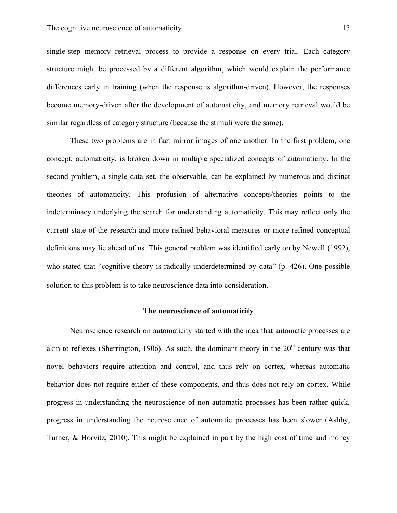single-step memory retrieval process to provide a response on every trial. Each category structure might be processed by a different algorithm, which would explain the performance differences early in training (when the response is algorithm-driven). However, the responses become memory-driven after the development of automaticity, and memory retrieval would be similar regardless of category structure (because the stimuli were the same).

These two problems are in fact mirror images of one another. In the first problem, one concept, automaticity, is broken down in multiple specialized concepts of automaticity. In the second problem, a single data set, the observable, can be explained by numerous and distinct theories of automaticity. This profusion of alternative concepts/theories points to the indeterminacy underlying the search for understanding automaticity. This may reflect only the current state of the research and more refined behavioral measures or more refined conceptual definitions may lie ahead of us. This general problem was identified early on by Newell (1992), who stated that "cognitive theory is radically underdetermined by data" (p. 426). One possible solution to this problem is to take neuroscience data into consideration.

# **The neuroscience of automaticity**

Neuroscience research on automaticity started with the idea that automatic processes are akin to reflexes (Sherrington, 1906). As such, the dominant theory in the  $20<sup>th</sup>$  century was that novel behaviors require attention and control, and thus rely on cortex, whereas automatic behavior does not require either of these components, and thus does not rely on cortex. While progress in understanding the neuroscience of non-automatic processes has been rather quick, progress in understanding the neuroscience of automatic processes has been slower (Ashby, Turner, & Horvitz, 2010). This might be explained in part by the high cost of time and money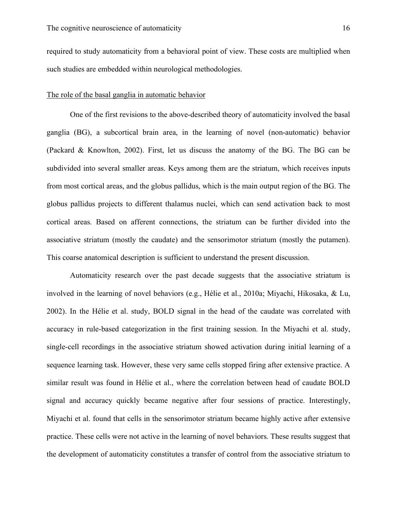required to study automaticity from a behavioral point of view. These costs are multiplied when such studies are embedded within neurological methodologies.

# The role of the basal ganglia in automatic behavior

One of the first revisions to the above-described theory of automaticity involved the basal ganglia (BG), a subcortical brain area, in the learning of novel (non-automatic) behavior (Packard & Knowlton, 2002). First, let us discuss the anatomy of the BG. The BG can be subdivided into several smaller areas. Keys among them are the striatum, which receives inputs from most cortical areas, and the globus pallidus, which is the main output region of the BG. The globus pallidus projects to different thalamus nuclei, which can send activation back to most cortical areas. Based on afferent connections, the striatum can be further divided into the associative striatum (mostly the caudate) and the sensorimotor striatum (mostly the putamen). This coarse anatomical description is sufficient to understand the present discussion.

Automaticity research over the past decade suggests that the associative striatum is involved in the learning of novel behaviors (e.g., Hélie et al., 2010a; Miyachi, Hikosaka, & Lu, 2002). In the Hélie et al. study, BOLD signal in the head of the caudate was correlated with accuracy in rule-based categorization in the first training session. In the Miyachi et al. study, single-cell recordings in the associative striatum showed activation during initial learning of a sequence learning task. However, these very same cells stopped firing after extensive practice. A similar result was found in Hélie et al., where the correlation between head of caudate BOLD signal and accuracy quickly became negative after four sessions of practice. Interestingly, Miyachi et al. found that cells in the sensorimotor striatum became highly active after extensive practice. These cells were not active in the learning of novel behaviors. These results suggest that the development of automaticity constitutes a transfer of control from the associative striatum to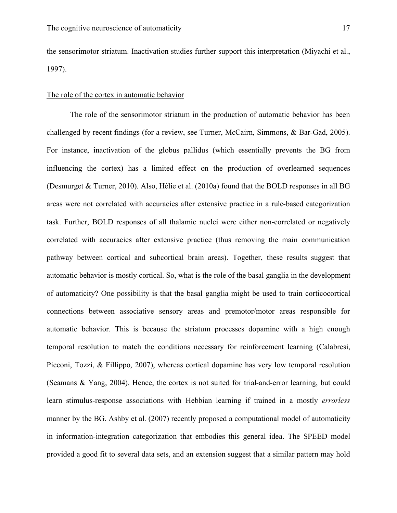the sensorimotor striatum. Inactivation studies further support this interpretation (Miyachi et al., 1997).

# The role of the cortex in automatic behavior

The role of the sensorimotor striatum in the production of automatic behavior has been challenged by recent findings (for a review, see Turner, McCairn, Simmons, & Bar-Gad, 2005). For instance, inactivation of the globus pallidus (which essentially prevents the BG from influencing the cortex) has a limited effect on the production of overlearned sequences (Desmurget & Turner, 2010). Also, Hélie et al. (2010a) found that the BOLD responses in all BG areas were not correlated with accuracies after extensive practice in a rule-based categorization task. Further, BOLD responses of all thalamic nuclei were either non-correlated or negatively correlated with accuracies after extensive practice (thus removing the main communication pathway between cortical and subcortical brain areas). Together, these results suggest that automatic behavior is mostly cortical. So, what is the role of the basal ganglia in the development of automaticity? One possibility is that the basal ganglia might be used to train corticocortical connections between associative sensory areas and premotor/motor areas responsible for automatic behavior. This is because the striatum processes dopamine with a high enough temporal resolution to match the conditions necessary for reinforcement learning (Calabresi, Picconi, Tozzi, & Fillippo, 2007), whereas cortical dopamine has very low temporal resolution (Seamans & Yang, 2004). Hence, the cortex is not suited for trial-and-error learning, but could learn stimulus-response associations with Hebbian learning if trained in a mostly *errorless* manner by the BG. Ashby et al. (2007) recently proposed a computational model of automaticity in information-integration categorization that embodies this general idea. The SPEED model provided a good fit to several data sets, and an extension suggest that a similar pattern may hold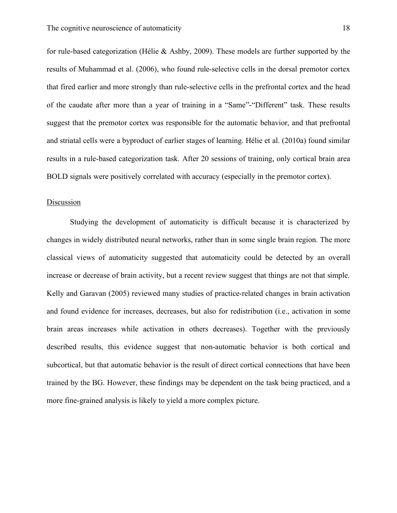for rule-based categorization (Hélie & Ashby, 2009). These models are further supported by the results of Muhammad et al. (2006), who found rule-selective cells in the dorsal premotor cortex that fired earlier and more strongly than rule-selective cells in the prefrontal cortex and the head of the caudate after more than a year of training in a "Same"-"Different" task. These results suggest that the premotor cortex was responsible for the automatic behavior, and that prefrontal and striatal cells were a byproduct of earlier stages of learning. Hélie et al. (2010a) found similar results in a rule-based categorization task. After 20 sessions of training, only cortical brain area BOLD signals were positively correlated with accuracy (especially in the premotor cortex).

#### **Discussion**

Studying the development of automaticity is difficult because it is characterized by changes in widely distributed neural networks, rather than in some single brain region. The more classical views of automaticity suggested that automaticity could be detected by an overall increase or decrease of brain activity, but a recent review suggest that things are not that simple. Kelly and Garavan (2005) reviewed many studies of practice-related changes in brain activation and found evidence for increases, decreases, but also for redistribution (i.e., activation in some brain areas increases while activation in others decreases). Together with the previously described results, this evidence suggest that non-automatic behavior is both cortical and subcortical, but that automatic behavior is the result of direct cortical connections that have been trained by the BG. However, these findings may be dependent on the task being practiced, and a more fine-grained analysis is likely to yield a more complex picture.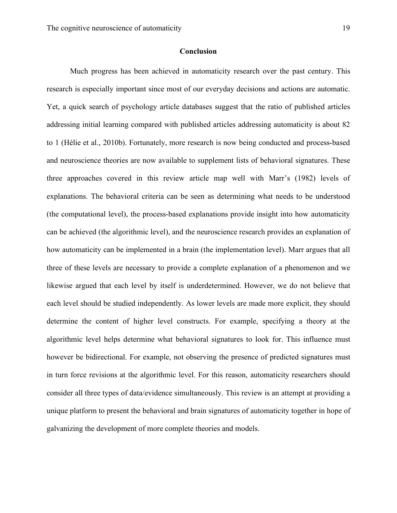# **Conclusion**

Much progress has been achieved in automaticity research over the past century. This research is especially important since most of our everyday decisions and actions are automatic. Yet, a quick search of psychology article databases suggest that the ratio of published articles addressing initial learning compared with published articles addressing automaticity is about 82 to 1 (Hélie et al., 2010b). Fortunately, more research is now being conducted and process-based and neuroscience theories are now available to supplement lists of behavioral signatures. These three approaches covered in this review article map well with Marr's (1982) levels of explanations. The behavioral criteria can be seen as determining what needs to be understood (the computational level), the process-based explanations provide insight into how automaticity can be achieved (the algorithmic level), and the neuroscience research provides an explanation of how automaticity can be implemented in a brain (the implementation level). Marr argues that all three of these levels are necessary to provide a complete explanation of a phenomenon and we likewise argued that each level by itself is underdetermined. However, we do not believe that each level should be studied independently. As lower levels are made more explicit, they should determine the content of higher level constructs. For example, specifying a theory at the algorithmic level helps determine what behavioral signatures to look for. This influence must however be bidirectional. For example, not observing the presence of predicted signatures must in turn force revisions at the algorithmic level. For this reason, automaticity researchers should consider all three types of data/evidence simultaneously. This review is an attempt at providing a unique platform to present the behavioral and brain signatures of automaticity together in hope of galvanizing the development of more complete theories and models.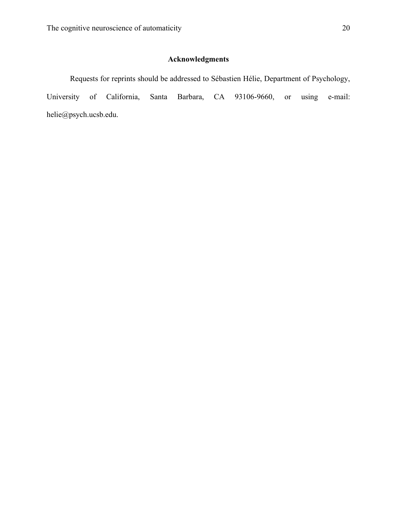# **Acknowledgments**

Requests for reprints should be addressed to Sébastien Hélie, Department of Psychology, University of California, Santa Barbara, CA 93106-9660, or using e-mail: helie@psych.ucsb.edu.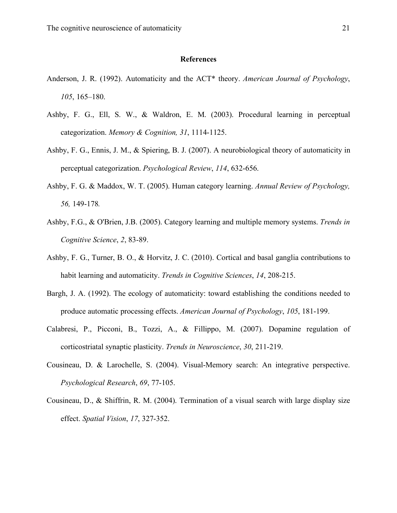#### **References**

- Anderson, J. R. (1992). Automaticity and the ACT\* theory. *American Journal of Psychology*, *105*, 165–180.
- Ashby, F. G., Ell, S. W., & Waldron, E. M. (2003). Procedural learning in perceptual categorization. *Memory & Cognition, 31*, 1114-1125.
- Ashby, F. G., Ennis, J. M., & Spiering, B. J. (2007). A neurobiological theory of automaticity in perceptual categorization. *Psychological Review*, *114*, 632-656.
- Ashby, F. G. & Maddox, W. T. (2005). Human category learning. *Annual Review of Psychology, 56,* 149-178*.*
- Ashby, F.G., & O'Brien, J.B. (2005). Category learning and multiple memory systems. *Trends in Cognitive Science*, *2*, 83-89.
- Ashby, F. G., Turner, B. O., & Horvitz, J. C. (2010). Cortical and basal ganglia contributions to habit learning and automaticity. *Trends in Cognitive Sciences*, *14*, 208-215.
- Bargh, J. A. (1992). The ecology of automaticity: toward establishing the conditions needed to produce automatic processing effects. *American Journal of Psychology*, *105*, 181-199.
- Calabresi, P., Picconi, B., Tozzi, A., & Fillippo, M. (2007). Dopamine regulation of corticostriatal synaptic plasticity. *Trends in Neuroscience*, *30*, 211-219.
- Cousineau, D. & Larochelle, S. (2004). Visual-Memory search: An integrative perspective. *Psychological Research*, *69*, 77-105.
- Cousineau, D., & Shiffrin, R. M. (2004). Termination of a visual search with large display size effect. *Spatial Vision*, *17*, 327-352.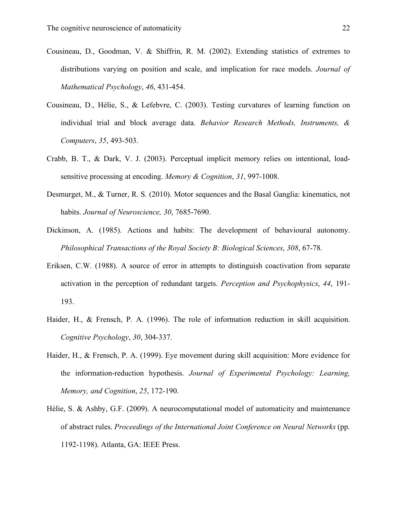- Cousineau, D., Goodman, V. & Shiffrin, R. M. (2002). Extending statistics of extremes to distributions varying on position and scale, and implication for race models. *Journal of Mathematical Psychology*, *46*, 431-454.
- Cousineau, D., Hélie, S., & Lefebvre, C. (2003). Testing curvatures of learning function on individual trial and block average data. *Behavior Research Methods, Instruments, & Computers*, *35*, 493-503.
- Crabb, B. T., & Dark, V. J. (2003). Perceptual implicit memory relies on intentional, loadsensitive processing at encoding. *Memory & Cognition*, *31*, 997-1008.
- Desmurget, M., & Turner, R. S. (2010). Motor sequences and the Basal Ganglia: kinematics, not habits. *Journal of Neuroscience, 30*, 7685-7690.
- Dickinson, A. (1985). Actions and habits: The development of behavioural autonomy. *Philosophical Transactions of the Royal Society B: Biological Sciences*, *308*, 67-78.
- Eriksen, C.W. (1988). A source of error in attempts to distinguish coactivation from separate activation in the perception of redundant targets. *Perception and Psychophysics*, *44*, 191- 193.
- Haider, H., & Frensch, P. A. (1996). The role of information reduction in skill acquisition. *Cognitive Psychology*, *30*, 304-337.
- Haider, H., & Frensch, P. A. (1999). Eye movement during skill acquisition: More evidence for the information-reduction hypothesis. *Journal of Experimental Psychology: Learning, Memory, and Cognition*, *25*, 172-190.
- Hélie, S. & Ashby, G.F. (2009). A neurocomputational model of automaticity and maintenance of abstract rules. *Proceedings of the International Joint Conference on Neural Networks* (pp. 1192-1198). Atlanta, GA: IEEE Press.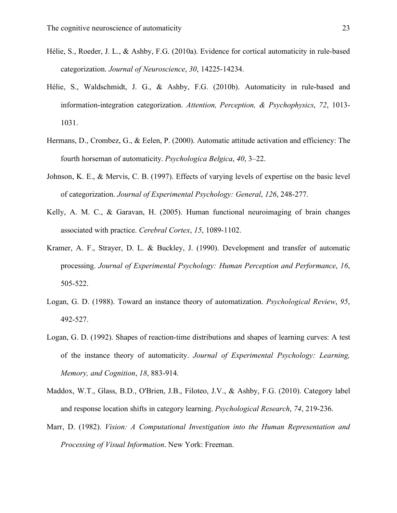- Hélie, S., Roeder, J. L., & Ashby, F.G. (2010a). Evidence for cortical automaticity in rule-based categorization. *Journal of Neuroscience*, *30*, 14225-14234.
- Hélie, S., Waldschmidt, J. G., & Ashby, F.G. (2010b). Automaticity in rule-based and information-integration categorization. *Attention, Perception, & Psychophysics*, *72*, 1013- 1031.
- Hermans, D., Crombez, G., & Eelen, P. (2000). Automatic attitude activation and efficiency: The fourth horseman of automaticity. *Psychologica Belgica*, *40*, 3–22.
- Johnson, K. E., & Mervis, C. B. (1997). Effects of varying levels of expertise on the basic level of categorization. *Journal of Experimental Psychology: General*, *126*, 248-277.
- Kelly, A. M. C., & Garavan, H. (2005). Human functional neuroimaging of brain changes associated with practice. *Cerebral Cortex*, *15*, 1089-1102.
- Kramer, A. F., Strayer, D. L. & Buckley, J. (1990). Development and transfer of automatic processing. *Journal of Experimental Psychology: Human Perception and Performance*, *16*, 505-522.
- Logan, G. D. (1988). Toward an instance theory of automatization. *Psychological Review*, *95*, 492-527.
- Logan, G. D. (1992). Shapes of reaction-time distributions and shapes of learning curves: A test of the instance theory of automaticity. *Journal of Experimental Psychology: Learning, Memory, and Cognition*, *18*, 883-914.
- Maddox, W.T., Glass, B.D., O'Brien, J.B., Filoteo, J.V., & Ashby, F.G. (2010). Category label and response location shifts in category learning. *Psychological Research*, *74*, 219-236.
- Marr, D. (1982). *Vision: A Computational Investigation into the Human Representation and Processing of Visual Information*. New York: Freeman.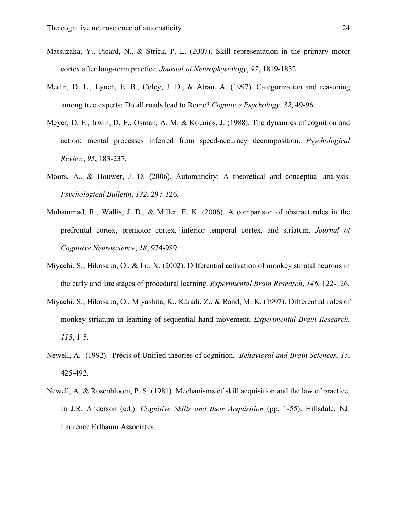- Matsuzaka, Y., Picard, N., & Strick, P. L. (2007). Skill representation in the primary motor cortex after long-term practice. *Journal of Neurophysiology*, *97*, 1819-1832.
- Medin, D. L., Lynch, E. B., Coley, J. D., & Atran, A. (1997). Categorization and reasoning among tree experts: Do all roads lead to Rome? *Cognitive Psychology, 32*, 49-96.
- Meyer, D. E., Irwin, D. E., Osman, A. M. & Kounios, J. (1988). The dynamics of cognition and action: mental processes inferred from speed-accuracy decomposition. *Psychological Review*, *95*, 183-237.
- Moors, A., & Houwer, J. D. (2006). Automaticity: A theoretical and conceptual analysis. *Psychological Bulletin*, *132*, 297-326.
- Muhammad, R., Wallis, J. D., & Miller, E. K. (2006). A comparison of abstract rules in the prefrontal cortex, premotor cortex, inferior temporal cortex, and striatum. *Journal of Cognitive Neuroscience*, *18*, 974-989.
- Miyachi, S., Hikosaka, O., & Lu, X. (2002). Differential activation of monkey striatal neurons in the early and late stages of procedural learning. *Experimental Brain Research*, *146*, 122-126.
- Miyachi, S., Hikosaka, O., Miyashita, K., Kárádi, Z., & Rand, M. K. (1997). Differential roles of monkey striatum in learning of sequential hand movement. *Experimental Brain Research*, *115*, 1-5.
- Newell, A. (1992). Précis of Unified theories of cognition. *Behavioral and Brain Sciences*, *15*, 425-492.
- Newell, A. & Rosenbloom, P. S. (1981). Mechanisms of skill acquisition and the law of practice. In J.R. Anderson (ed.). *Cognitive Skills and their Acquisition* (pp. 1-55). Hillsdale, NJ: Laurence Erlbaum Associates.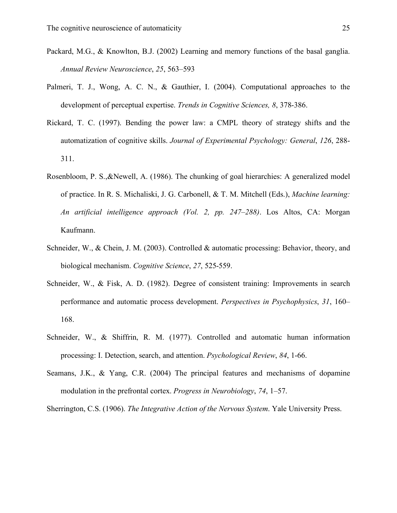- Packard, M.G., & Knowlton, B.J. (2002) Learning and memory functions of the basal ganglia. *Annual Review Neuroscience*, *25*, 563–593
- Palmeri, T. J., Wong, A. C. N., & Gauthier, I. (2004). Computational approaches to the development of perceptual expertise. *Trends in Cognitive Sciences, 8*, 378-386.
- Rickard, T. C. (1997). Bending the power law: a CMPL theory of strategy shifts and the automatization of cognitive skills. *Journal of Experimental Psychology: General*, *126*, 288- 311.
- Rosenbloom, P. S.,&Newell, A. (1986). The chunking of goal hierarchies: A generalized model of practice. In R. S. Michaliski, J. G. Carbonell, & T. M. Mitchell (Eds.), *Machine learning: An artificial intelligence approach (Vol. 2, pp. 247–288)*. Los Altos, CA: Morgan Kaufmann.
- Schneider, W., & Chein, J. M. (2003). Controlled & automatic processing: Behavior, theory, and biological mechanism. *Cognitive Science*, *27*, 525-559.
- Schneider, W., & Fisk, A. D. (1982). Degree of consistent training: Improvements in search performance and automatic process development. *Perspectives in Psychophysics*, *31*, 160– 168.
- Schneider, W., & Shiffrin, R. M. (1977). Controlled and automatic human information processing: I. Detection, search, and attention. *Psychological Review*, *84*, 1-66.
- Seamans, J.K., & Yang, C.R. (2004) The principal features and mechanisms of dopamine modulation in the prefrontal cortex. *Progress in Neurobiology*, *74*, 1–57.

Sherrington, C.S. (1906). *The Integrative Action of the Nervous System*. Yale University Press.